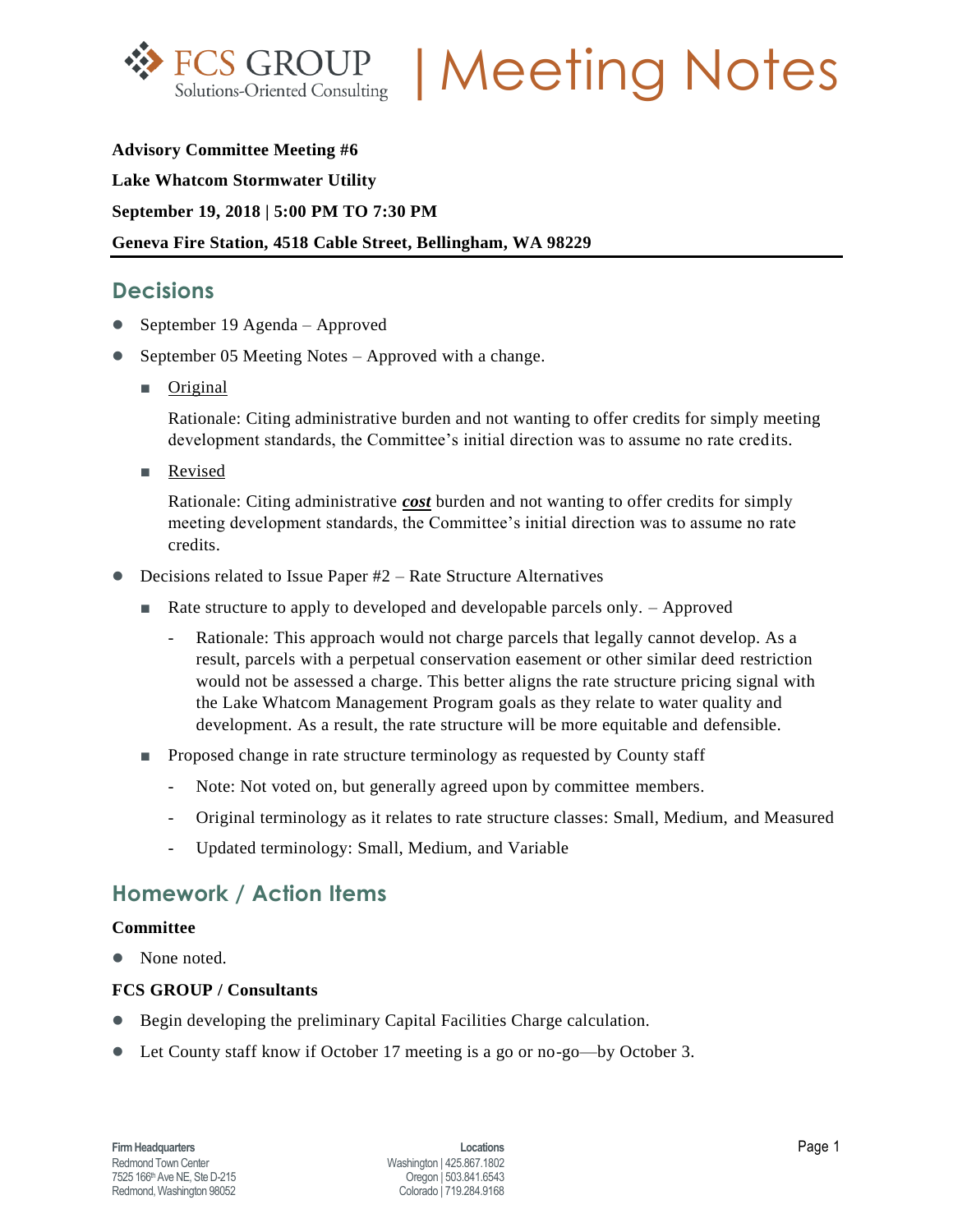

**FCS GROUP | Meeting Notes** 

**Advisory Committee Meeting #6 Lake Whatcom Stormwater Utility September 19, 2018 | 5:00 PM TO 7:30 PM Geneva Fire Station, 4518 Cable Street, Bellingham, WA 98229**

## **Decisions**

- September 19 Agenda Approved
- September 05 Meeting Notes Approved with a change.
	- Original

Rationale: Citing administrative burden and not wanting to offer credits for simply meeting development standards, the Committee's initial direction was to assume no rate credits.

■ Revised

Rationale: Citing administrative *cost* burden and not wanting to offer credits for simply meeting development standards, the Committee's initial direction was to assume no rate credits.

- Decisions related to Issue Paper #2 Rate Structure Alternatives
	- Rate structure to apply to developed and developable parcels only. Approved
		- Rationale: This approach would not charge parcels that legally cannot develop. As a result, parcels with a perpetual conservation easement or other similar deed restriction would not be assessed a charge. This better aligns the rate structure pricing signal with the Lake Whatcom Management Program goals as they relate to water quality and development. As a result, the rate structure will be more equitable and defensible.
	- Proposed change in rate structure terminology as requested by County staff
		- Note: Not voted on, but generally agreed upon by committee members.
		- Original terminology as it relates to rate structure classes: Small, Medium, and Measured
		- Updated terminology: Small, Medium, and Variable

## **Homework / Action Items**

#### **Committee**

• None noted.

### **FCS GROUP / Consultants**

- Begin developing the preliminary Capital Facilities Charge calculation.
- Let County staff know if October 17 meeting is a go or no-go—by October 3.